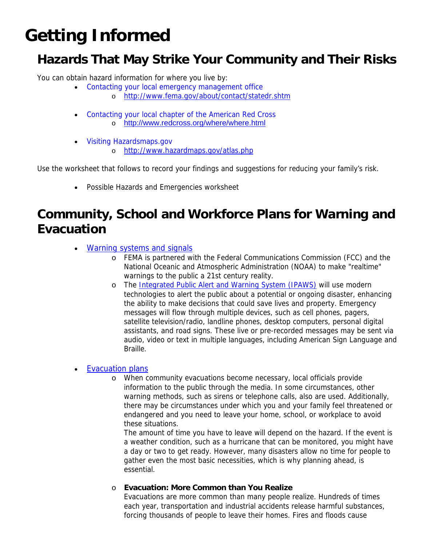# **Getting Informed**

## **Hazards That May Strike Your Community and Their Risks**

You can obtain hazard information for where you live by:

- [Contacting your local emergency management office](http://www.fema.gov/about/contact/statedr.shtm)
	- o <http://www.fema.gov/about/contact/statedr.shtm>
- [Contacting your local chapter of the American Red Cross](http://www.fema.gov/goodbye/goodbye.jsp?url=http://www.redcross.org/where/where.html) o <http://www.redcross.org/where/where.html>
- [Visiting Hazardsmaps.gov](http://www.hazardmaps.gov/atlas.php)
	- o <http://www.hazardmaps.gov/atlas.php>

Use the worksheet that follows to record your findings and suggestions for reducing your family's risk.

• Possible Hazards and Emergencies worksheet

### **Community, School and Workforce Plans for Warning and Evacuation**

- [Warning systems and signals](http://www.fema.gov/plan/prepare/warning.shtm)
	- o FEMA is partnered with the Federal Communications Commission (FCC) and the National Oceanic and Atmospheric Administration (NOAA) to make "realtime" warnings to the public a 21st century reality.
	- o The [Integrated Public Alert and Warning System \(IPAWS\)](http://www.fema.gov/emergency/ipaws/index.shtm) will use modern technologies to alert the public about a potential or ongoing disaster, enhancing the ability to make decisions that could save lives and property. Emergency messages will flow through multiple devices, such as cell phones, pagers, satellite television/radio, landline phones, desktop computers, personal digital assistants, and road signs. These live or pre-recorded messages may be sent via audio, video or text in multiple languages, including American Sign Language and Braille.

#### **Evacuation plans**

o When community evacuations become necessary, local officials provide information to the public through the media. In some circumstances, other warning methods, such as sirens or telephone calls, also are used. Additionally, there may be circumstances under which you and your family feel threatened or endangered and you need to leave your home, school, or workplace to avoid these situations.

The amount of time you have to leave will depend on the hazard. If the event is a weather condition, such as a hurricane that can be monitored, you might have a day or two to get ready. However, many disasters allow no time for people to gather even the most basic necessities, which is why planning ahead, is essential.

o **Evacuation: More Common than You Realize**

Evacuations are more common than many people realize. Hundreds of times each year, transportation and industrial accidents release harmful substances, forcing thousands of people to leave their homes. Fires and floods cause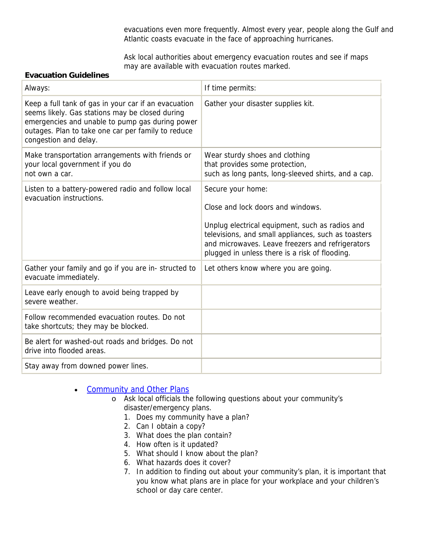evacuations even more frequently. Almost every year, people along the Gulf and Atlantic coasts evacuate in the face of approaching hurricanes.

Ask local authorities about emergency evacuation routes and see if maps may are available with evacuation routes marked.

#### **Evacuation Guidelines**

| Always:                                                                                                                                                                                                                                   | If time permits:                                                                                                                                                                                                                                                       |
|-------------------------------------------------------------------------------------------------------------------------------------------------------------------------------------------------------------------------------------------|------------------------------------------------------------------------------------------------------------------------------------------------------------------------------------------------------------------------------------------------------------------------|
| Keep a full tank of gas in your car if an evacuation<br>seems likely. Gas stations may be closed during<br>emergencies and unable to pump gas during power<br>outages. Plan to take one car per family to reduce<br>congestion and delay. | Gather your disaster supplies kit.                                                                                                                                                                                                                                     |
| Make transportation arrangements with friends or<br>your local government if you do<br>not own a car.                                                                                                                                     | Wear sturdy shoes and clothing<br>that provides some protection,<br>such as long pants, long-sleeved shirts, and a cap.                                                                                                                                                |
| Listen to a battery-powered radio and follow local<br>evacuation instructions.                                                                                                                                                            | Secure your home:<br>Close and lock doors and windows.<br>Unplug electrical equipment, such as radios and<br>televisions, and small appliances, such as toasters<br>and microwaves. Leave freezers and refrigerators<br>plugged in unless there is a risk of flooding. |
| Gather your family and go if you are in- structed to<br>evacuate immediately.                                                                                                                                                             | Let others know where you are going.                                                                                                                                                                                                                                   |
| Leave early enough to avoid being trapped by<br>severe weather.                                                                                                                                                                           |                                                                                                                                                                                                                                                                        |
| Follow recommended evacuation routes. Do not<br>take shortcuts; they may be blocked.                                                                                                                                                      |                                                                                                                                                                                                                                                                        |
| Be alert for washed-out roads and bridges. Do not<br>drive into flooded areas.                                                                                                                                                            |                                                                                                                                                                                                                                                                        |
| Stay away from downed power lines.                                                                                                                                                                                                        |                                                                                                                                                                                                                                                                        |

- [Community and Other Plans](http://www.fema.gov/plan/prepare/community.shtm)
	- o Ask local officials the following questions about your community's disaster/emergency plans.
		- 1. Does my community have a plan?
		- 2. Can I obtain a copy?
		- 3. What does the plan contain?
		- 4. How often is it updated?
		- 5. What should I know about the plan?
		- 6. What hazards does it cover?
		- 7. In addition to finding out about your community's plan, it is important that you know what plans are in place for your workplace and your children's school or day care center.